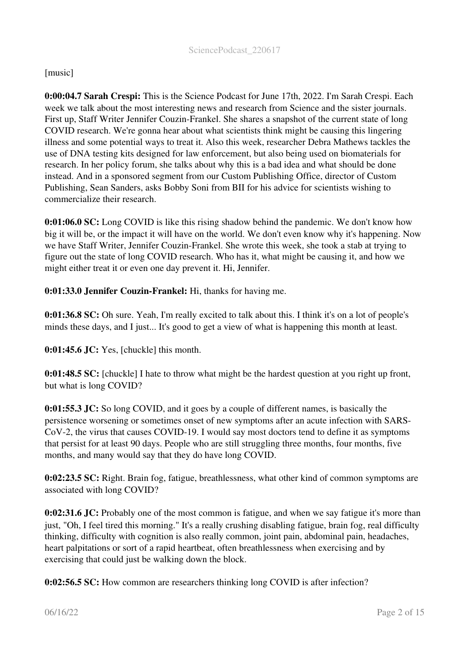## [music]

0:00:04.7 Sarah Crespi: This is the Science Podcast for June 17th, 2022. I'm Sarah Crespi. Each week we talk about the most interesting news and research from Science and the sister journals. First up, Staff Writer Jennifer Couzin-Frankel. She shares a snapshot of the current state of long COVID research. We're gonna hear about what scientists think might be causing this lingering illness and some potential ways to treat it. Also this week, researcher Debra Mathews tackles the use of DNA testing kits designed for law enforcement, but also being used on biomaterials for research. In her policy forum, she talks about why this is a bad idea and what should be done instead. And in a sponsored segment from our Custom Publishing Office, director of Custom Publishing, Sean Sanders, asks Bobby Soni from BII for his advice for scientists wishing to commercialize their research.

0:01:06.0 SC: Long COVID is like this rising shadow behind the pandemic. We don't know how big it will be, or the impact it will have on the world. We don't even know why it's happening. Now we have Staff Writer, Jennifer Couzin-Frankel. She wrote this week, she took a stab at trying to figure out the state of long COVID research. Who has it, what might be causing it, and how we might either treat it or even one day prevent it. Hi, Jennifer.

0:01:33.0 Jennifer Couzin-Frankel: Hi, thanks for having me.

0:01:36.8 SC: Oh sure. Yeah, I'm really excited to talk about this. I think it's on a lot of people's minds these days, and I just... It's good to get a view of what is happening this month at least.

0:01:45.6 JC: Yes, [chuckle] this month.

0:01:48.5 SC: [chuckle] I hate to throw what might be the hardest question at you right up front, but what is long COVID?

0:01:55.3 JC: So long COVID, and it goes by a couple of different names, is basically the persistence worsening or sometimes onset of new symptoms after an acute infection with SARS-CoV-2, the virus that causes COVID-19. I would say most doctors tend to define it as symptoms that persist for at least 90 days. People who are still struggling three months, four months, five months, and many would say that they do have long COVID.

0:02:23.5 SC: Right. Brain fog, fatigue, breathlessness, what other kind of common symptoms are associated with long COVID?

0:02:31.6 JC: Probably one of the most common is fatigue, and when we say fatigue it's more than just, "Oh, I feel tired this morning." It's a really crushing disabling fatigue, brain fog, real difficulty thinking, difficulty with cognition is also really common, joint pain, abdominal pain, headaches, heart palpitations or sort of a rapid heartbeat, often breathlessness when exercising and by exercising that could just be walking down the block.

0:02:56.5 SC: How common are researchers thinking long COVID is after infection?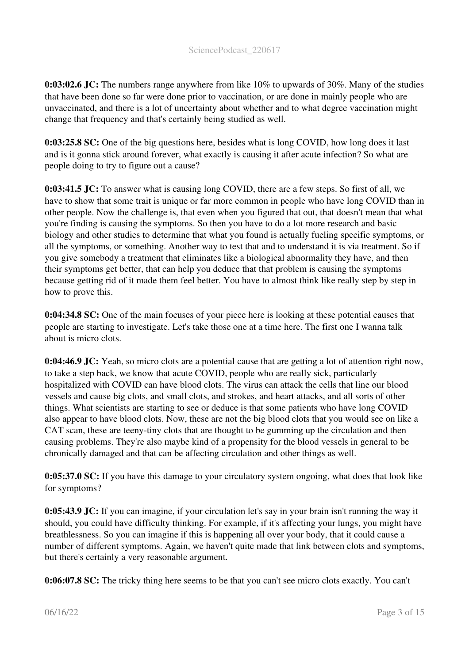0:03:02.6 JC: The numbers range anywhere from like 10% to upwards of 30%. Many of the studies that have been done so far were done prior to vaccination, or are done in mainly people who are unvaccinated, and there is a lot of uncertainty about whether and to what degree vaccination might change that frequency and that's certainly being studied as well.

0:03:25.8 SC: One of the big questions here, besides what is long COVID, how long does it last and is it gonna stick around forever, what exactly is causing it after acute infection? So what are people doing to try to figure out a cause?

0:03:41.5 JC: To answer what is causing long COVID, there are a few steps. So first of all, we have to show that some trait is unique or far more common in people who have long COVID than in other people. Now the challenge is, that even when you figured that out, that doesn't mean that what you're finding is causing the symptoms. So then you have to do a lot more research and basic biology and other studies to determine that what you found is actually fueling specific symptoms, or all the symptoms, or something. Another way to test that and to understand it is via treatment. So if you give somebody a treatment that eliminates like a biological abnormality they have, and then their symptoms get better, that can help you deduce that that problem is causing the symptoms because getting rid of it made them feel better. You have to almost think like really step by step in how to prove this.

0:04:34.8 SC: One of the main focuses of your piece here is looking at these potential causes that people are starting to investigate. Let's take those one at a time here. The first one I wanna talk about is micro clots.

0:04:46.9 JC: Yeah, so micro clots are a potential cause that are getting a lot of attention right now, to take a step back, we know that acute COVID, people who are really sick, particularly hospitalized with COVID can have blood clots. The virus can attack the cells that line our blood vessels and cause big clots, and small clots, and strokes, and heart attacks, and all sorts of other things. What scientists are starting to see or deduce is that some patients who have long COVID also appear to have blood clots. Now, these are not the big blood clots that you would see on like a CAT scan, these are teeny-tiny clots that are thought to be gumming up the circulation and then causing problems. They're also maybe kind of a propensity for the blood vessels in general to be chronically damaged and that can be affecting circulation and other things as well.

0:05:37.0 SC: If you have this damage to your circulatory system ongoing, what does that look like for symptoms?

0:05:43.9 JC: If you can imagine, if your circulation let's say in your brain isn't running the way it should, you could have difficulty thinking. For example, if it's affecting your lungs, you might have breathlessness. So you can imagine if this is happening all over your body, that it could cause a number of different symptoms. Again, we haven't quite made that link between clots and symptoms, but there's certainly a very reasonable argument.

0:06:07.8 SC: The tricky thing here seems to be that you can't see micro clots exactly. You can't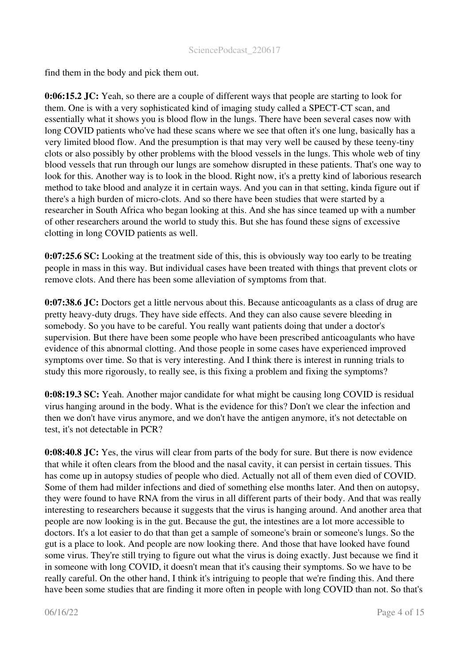find them in the body and pick them out.

0:06:15.2 JC: Yeah, so there are a couple of different ways that people are starting to look for them. One is with a very sophisticated kind of imaging study called a SPECT-CT scan, and essentially what it shows you is blood flow in the lungs. There have been several cases now with long COVID patients who've had these scans where we see that often it's one lung, basically has a very limited blood flow. And the presumption is that may very well be caused by these teeny-tiny clots or also possibly by other problems with the blood vessels in the lungs. This whole web of tiny blood vessels that run through our lungs are somehow disrupted in these patients. That's one way to look for this. Another way is to look in the blood. Right now, it's a pretty kind of laborious research method to take blood and analyze it in certain ways. And you can in that setting, kinda figure out if there's a high burden of micro-clots. And so there have been studies that were started by a researcher in South Africa who began looking at this. And she has since teamed up with a number of other researchers around the world to study this. But she has found these signs of excessive clotting in long COVID patients as well.

0:07:25.6 SC: Looking at the treatment side of this, this is obviously way too early to be treating people in mass in this way. But individual cases have been treated with things that prevent clots or remove clots. And there has been some alleviation of symptoms from that.

0:07:38.6 JC: Doctors get a little nervous about this. Because anticoagulants as a class of drug are pretty heavy-duty drugs. They have side effects. And they can also cause severe bleeding in somebody. So you have to be careful. You really want patients doing that under a doctor's supervision. But there have been some people who have been prescribed anticoagulants who have evidence of this abnormal clotting. And those people in some cases have experienced improved symptoms over time. So that is very interesting. And I think there is interest in running trials to study this more rigorously, to really see, is this fixing a problem and fixing the symptoms?

0:08:19.3 SC: Yeah. Another major candidate for what might be causing long COVID is residual virus hanging around in the body. What is the evidence for this? Don't we clear the infection and then we don't have virus anymore, and we don't have the antigen anymore, it's not detectable on test, it's not detectable in PCR?

0:08:40.8 JC: Yes, the virus will clear from parts of the body for sure. But there is now evidence that while it often clears from the blood and the nasal cavity, it can persist in certain tissues. This has come up in autopsy studies of people who died. Actually not all of them even died of COVID. Some of them had milder infections and died of something else months later. And then on autopsy, they were found to have RNA from the virus in all different parts of their body. And that was really interesting to researchers because it suggests that the virus is hanging around. And another area that people are now looking is in the gut. Because the gut, the intestines are a lot more accessible to doctors. It's a lot easier to do that than get a sample of someone's brain or someone's lungs. So the gut is a place to look. And people are now looking there. And those that have looked have found some virus. They're still trying to figure out what the virus is doing exactly. Just because we find it in someone with long COVID, it doesn't mean that it's causing their symptoms. So we have to be really careful. On the other hand, I think it's intriguing to people that we're finding this. And there have been some studies that are finding it more often in people with long COVID than not. So that's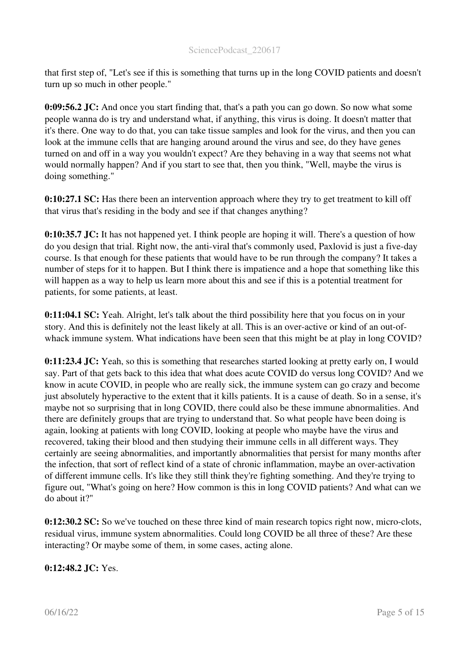that first step of, "Let's see if this is something that turns up in the long COVID patients and doesn't turn up so much in other people."

0:09:56.2 JC: And once you start finding that, that's a path you can go down. So now what some people wanna do is try and understand what, if anything, this virus is doing. It doesn't matter that it's there. One way to do that, you can take tissue samples and look for the virus, and then you can look at the immune cells that are hanging around around the virus and see, do they have genes turned on and off in a way you wouldn't expect? Are they behaving in a way that seems not what would normally happen? And if you start to see that, then you think, "Well, maybe the virus is doing something."

0:10:27.1 SC: Has there been an intervention approach where they try to get treatment to kill off that virus that's residing in the body and see if that changes anything?

0:10:35.7 JC: It has not happened yet. I think people are hoping it will. There's a question of how do you design that trial. Right now, the anti-viral that's commonly used, Paxlovid is just a five-day course. Is that enough for these patients that would have to be run through the company? It takes a number of steps for it to happen. But I think there is impatience and a hope that something like this will happen as a way to help us learn more about this and see if this is a potential treatment for patients, for some patients, at least.

0:11:04.1 SC: Yeah. Alright, let's talk about the third possibility here that you focus on in your story. And this is definitely not the least likely at all. This is an over-active or kind of an out-ofwhack immune system. What indications have been seen that this might be at play in long COVID?

0:11:23.4 JC: Yeah, so this is something that researches started looking at pretty early on, I would say. Part of that gets back to this idea that what does acute COVID do versus long COVID? And we know in acute COVID, in people who are really sick, the immune system can go crazy and become just absolutely hyperactive to the extent that it kills patients. It is a cause of death. So in a sense, it's maybe not so surprising that in long COVID, there could also be these immune abnormalities. And there are definitely groups that are trying to understand that. So what people have been doing is again, looking at patients with long COVID, looking at people who maybe have the virus and recovered, taking their blood and then studying their immune cells in all different ways. They certainly are seeing abnormalities, and importantly abnormalities that persist for many months after the infection, that sort of reflect kind of a state of chronic inflammation, maybe an over-activation of different immune cells. It's like they still think they're fighting something. And they're trying to figure out, "What's going on here? How common is this in long COVID patients? And what can we do about it?"

0:12:30.2 SC: So we've touched on these three kind of main research topics right now, micro-clots, residual virus, immune system abnormalities. Could long COVID be all three of these? Are these interacting? Or maybe some of them, in some cases, acting alone.

0:12:48.2 JC: Yes.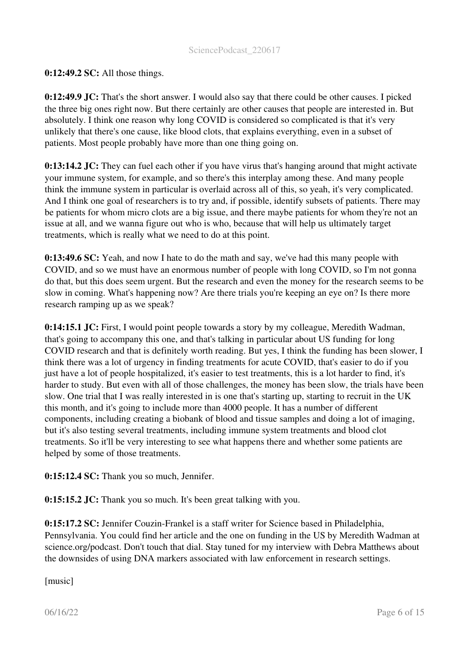## 0:12:49.2 SC: All those things.

0:12:49.9 JC: That's the short answer. I would also say that there could be other causes. I picked the three big ones right now. But there certainly are other causes that people are interested in. But absolutely. I think one reason why long COVID is considered so complicated is that it's very unlikely that there's one cause, like blood clots, that explains everything, even in a subset of patients. Most people probably have more than one thing going on.

0:13:14.2 JC: They can fuel each other if you have virus that's hanging around that might activate your immune system, for example, and so there's this interplay among these. And many people think the immune system in particular is overlaid across all of this, so yeah, it's very complicated. And I think one goal of researchers is to try and, if possible, identify subsets of patients. There may be patients for whom micro clots are a big issue, and there maybe patients for whom they're not an issue at all, and we wanna figure out who is who, because that will help us ultimately target treatments, which is really what we need to do at this point.

0:13:49.6 SC: Yeah, and now I hate to do the math and say, we've had this many people with COVID, and so we must have an enormous number of people with long COVID, so I'm not gonna do that, but this does seem urgent. But the research and even the money for the research seems to be slow in coming. What's happening now? Are there trials you're keeping an eye on? Is there more research ramping up as we speak?

0:14:15.1 JC: First, I would point people towards a story by my colleague, Meredith Wadman, that's going to accompany this one, and that's talking in particular about US funding for long COVID research and that is definitely worth reading. But yes, I think the funding has been slower, I think there was a lot of urgency in finding treatments for acute COVID, that's easier to do if you just have a lot of people hospitalized, it's easier to test treatments, this is a lot harder to find, it's harder to study. But even with all of those challenges, the money has been slow, the trials have been slow. One trial that I was really interested in is one that's starting up, starting to recruit in the UK this month, and it's going to include more than 4000 people. It has a number of different components, including creating a biobank of blood and tissue samples and doing a lot of imaging, but it's also testing several treatments, including immune system treatments and blood clot treatments. So it'll be very interesting to see what happens there and whether some patients are helped by some of those treatments.

0:15:12.4 SC: Thank you so much, Jennifer.

0:15:15.2 JC: Thank you so much. It's been great talking with you.

0:15:17.2 SC: Jennifer Couzin-Frankel is a staff writer for Science based in Philadelphia, Pennsylvania. You could find her article and the one on funding in the US by Meredith Wadman at science.org/podcast. Don't touch that dial. Stay tuned for my interview with Debra Matthews about the downsides of using DNA markers associated with law enforcement in research settings.

[music]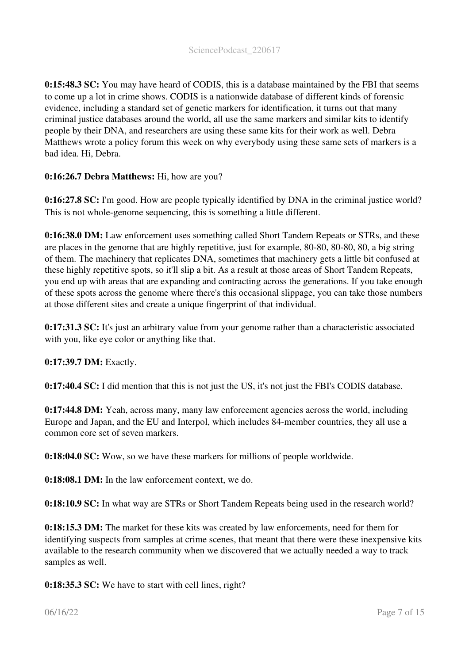0:15:48.3 SC: You may have heard of CODIS, this is a database maintained by the FBI that seems to come up a lot in crime shows. CODIS is a nationwide database of different kinds of forensic evidence, including a standard set of genetic markers for identification, it turns out that many criminal justice databases around the world, all use the same markers and similar kits to identify people by their DNA, and researchers are using these same kits for their work as well. Debra Matthews wrote a policy forum this week on why everybody using these same sets of markers is a bad idea. Hi, Debra.

# 0:16:26.7 Debra Matthews: Hi, how are you?

0:16:27.8 SC: I'm good. How are people typically identified by DNA in the criminal justice world? This is not whole-genome sequencing, this is something a little different.

0:16:38.0 DM: Law enforcement uses something called Short Tandem Repeats or STRs, and these are places in the genome that are highly repetitive, just for example, 80-80, 80-80, 80, a big string of them. The machinery that replicates DNA, sometimes that machinery gets a little bit confused at these highly repetitive spots, so it'll slip a bit. As a result at those areas of Short Tandem Repeats, you end up with areas that are expanding and contracting across the generations. If you take enough of these spots across the genome where there's this occasional slippage, you can take those numbers at those different sites and create a unique fingerprint of that individual.

0:17:31.3 SC: It's just an arbitrary value from your genome rather than a characteristic associated with you, like eye color or anything like that.

0:17:39.7 DM: Exactly.

0:17:40.4 SC: I did mention that this is not just the US, it's not just the FBI's CODIS database.

0:17:44.8 DM: Yeah, across many, many law enforcement agencies across the world, including Europe and Japan, and the EU and Interpol, which includes 84-member countries, they all use a common core set of seven markers.

0:18:04.0 SC: Wow, so we have these markers for millions of people worldwide.

0:18:08.1 DM: In the law enforcement context, we do.

0:18:10.9 SC: In what way are STRs or Short Tandem Repeats being used in the research world?

0:18:15.3 DM: The market for these kits was created by law enforcements, need for them for identifying suspects from samples at crime scenes, that meant that there were these inexpensive kits available to the research community when we discovered that we actually needed a way to track samples as well.

0:18:35.3 SC: We have to start with cell lines, right?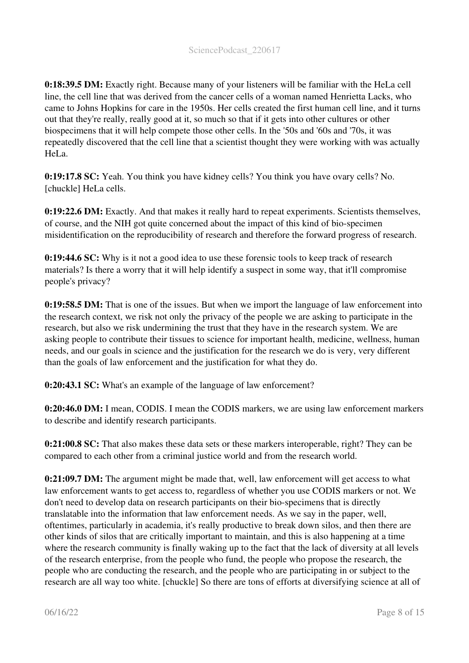0:18:39.5 DM: Exactly right. Because many of your listeners will be familiar with the HeLa cell line, the cell line that was derived from the cancer cells of a woman named Henrietta Lacks, who came to Johns Hopkins for care in the 1950s. Her cells created the first human cell line, and it turns out that they're really, really good at it, so much so that if it gets into other cultures or other biospecimens that it will help compete those other cells. In the '50s and '60s and '70s, it was repeatedly discovered that the cell line that a scientist thought they were working with was actually HeLa.

0:19:17.8 SC: Yeah. You think you have kidney cells? You think you have ovary cells? No. [chuckle] HeLa cells.

0:19:22.6 DM: Exactly. And that makes it really hard to repeat experiments. Scientists themselves, of course, and the NIH got quite concerned about the impact of this kind of bio-specimen misidentification on the reproducibility of research and therefore the forward progress of research.

0:19:44.6 SC: Why is it not a good idea to use these forensic tools to keep track of research materials? Is there a worry that it will help identify a suspect in some way, that it'll compromise people's privacy?

0:19:58.5 DM: That is one of the issues. But when we import the language of law enforcement into the research context, we risk not only the privacy of the people we are asking to participate in the research, but also we risk undermining the trust that they have in the research system. We are asking people to contribute their tissues to science for important health, medicine, wellness, human needs, and our goals in science and the justification for the research we do is very, very different than the goals of law enforcement and the justification for what they do.

0:20:43.1 SC: What's an example of the language of law enforcement?

0:20:46.0 DM: I mean, CODIS. I mean the CODIS markers, we are using law enforcement markers to describe and identify research participants.

0:21:00.8 SC: That also makes these data sets or these markers interoperable, right? They can be compared to each other from a criminal justice world and from the research world.

0:21:09.7 DM: The argument might be made that, well, law enforcement will get access to what law enforcement wants to get access to, regardless of whether you use CODIS markers or not. We don't need to develop data on research participants on their bio-specimens that is directly translatable into the information that law enforcement needs. As we say in the paper, well, oftentimes, particularly in academia, it's really productive to break down silos, and then there are other kinds of silos that are critically important to maintain, and this is also happening at a time where the research community is finally waking up to the fact that the lack of diversity at all levels of the research enterprise, from the people who fund, the people who propose the research, the people who are conducting the research, and the people who are participating in or subject to the research are all way too white. [chuckle] So there are tons of efforts at diversifying science at all of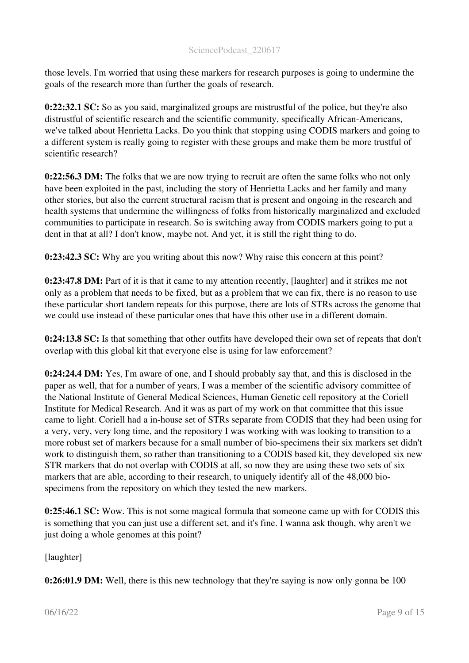those levels. I'm worried that using these markers for research purposes is going to undermine the goals of the research more than further the goals of research.

0:22:32.1 SC: So as you said, marginalized groups are mistrustful of the police, but they're also distrustful of scientific research and the scientific community, specifically African-Americans, we've talked about Henrietta Lacks. Do you think that stopping using CODIS markers and going to a different system is really going to register with these groups and make them be more trustful of scientific research?

0:22:56.3 DM: The folks that we are now trying to recruit are often the same folks who not only have been exploited in the past, including the story of Henrietta Lacks and her family and many other stories, but also the current structural racism that is present and ongoing in the research and health systems that undermine the willingness of folks from historically marginalized and excluded communities to participate in research. So is switching away from CODIS markers going to put a dent in that at all? I don't know, maybe not. And yet, it is still the right thing to do.

0:23:42.3 SC: Why are you writing about this now? Why raise this concern at this point?

0:23:47.8 DM: Part of it is that it came to my attention recently, [laughter] and it strikes me not only as a problem that needs to be fixed, but as a problem that we can fix, there is no reason to use these particular short tandem repeats for this purpose, there are lots of STRs across the genome that we could use instead of these particular ones that have this other use in a different domain.

0:24:13.8 SC: Is that something that other outfits have developed their own set of repeats that don't overlap with this global kit that everyone else is using for law enforcement?

0:24:24.4 DM: Yes, I'm aware of one, and I should probably say that, and this is disclosed in the paper as well, that for a number of years, I was a member of the scientific advisory committee of the National Institute of General Medical Sciences, Human Genetic cell repository at the Coriell Institute for Medical Research. And it was as part of my work on that committee that this issue came to light. Coriell had a in-house set of STRs separate from CODIS that they had been using for a very, very, very long time, and the repository I was working with was looking to transition to a more robust set of markers because for a small number of bio-specimens their six markers set didn't work to distinguish them, so rather than transitioning to a CODIS based kit, they developed six new STR markers that do not overlap with CODIS at all, so now they are using these two sets of six markers that are able, according to their research, to uniquely identify all of the 48,000 biospecimens from the repository on which they tested the new markers.

0:25:46.1 SC: Wow. This is not some magical formula that someone came up with for CODIS this is something that you can just use a different set, and it's fine. I wanna ask though, why aren't we just doing a whole genomes at this point?

[laughter]

0:26:01.9 DM: Well, there is this new technology that they're saying is now only gonna be 100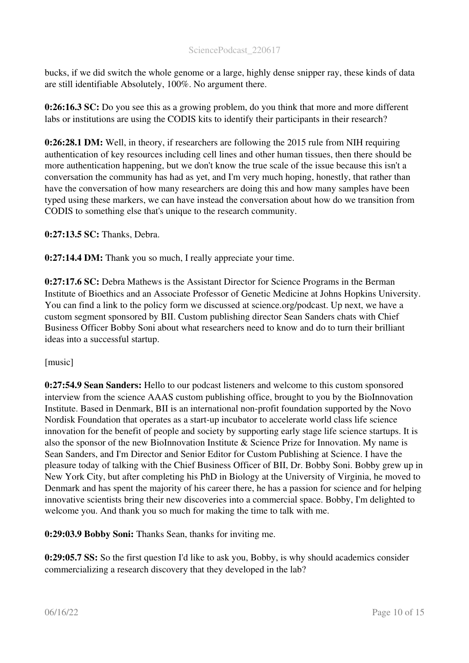bucks, if we did switch the whole genome or a large, highly dense snipper ray, these kinds of data are still identifiable Absolutely, 100%. No argument there.

0:26:16.3 SC: Do you see this as a growing problem, do you think that more and more different labs or institutions are using the CODIS kits to identify their participants in their research?

0:26:28.1 DM: Well, in theory, if researchers are following the 2015 rule from NIH requiring authentication of key resources including cell lines and other human tissues, then there should be more authentication happening, but we don't know the true scale of the issue because this isn't a conversation the community has had as yet, and I'm very much hoping, honestly, that rather than have the conversation of how many researchers are doing this and how many samples have been typed using these markers, we can have instead the conversation about how do we transition from CODIS to something else that's unique to the research community.

0:27:13.5 SC: Thanks, Debra.

0:27:14.4 DM: Thank you so much, I really appreciate your time.

0:27:17.6 SC: Debra Mathews is the Assistant Director for Science Programs in the Berman Institute of Bioethics and an Associate Professor of Genetic Medicine at Johns Hopkins University. You can find a link to the policy form we discussed at science.org/podcast. Up next, we have a custom segment sponsored by BII. Custom publishing director Sean Sanders chats with Chief Business Officer Bobby Soni about what researchers need to know and do to turn their brilliant ideas into a successful startup.

[music]

0:27:54.9 Sean Sanders: Hello to our podcast listeners and welcome to this custom sponsored interview from the science AAAS custom publishing office, brought to you by the BioInnovation Institute. Based in Denmark, BII is an international non-profit foundation supported by the Novo Nordisk Foundation that operates as a start-up incubator to accelerate world class life science innovation for the benefit of people and society by supporting early stage life science startups. It is also the sponsor of the new BioInnovation Institute & Science Prize for Innovation. My name is Sean Sanders, and I'm Director and Senior Editor for Custom Publishing at Science. I have the pleasure today of talking with the Chief Business Officer of BII, Dr. Bobby Soni. Bobby grew up in New York City, but after completing his PhD in Biology at the University of Virginia, he moved to Denmark and has spent the majority of his career there, he has a passion for science and for helping innovative scientists bring their new discoveries into a commercial space. Bobby, I'm delighted to welcome you. And thank you so much for making the time to talk with me.

0:29:03.9 Bobby Soni: Thanks Sean, thanks for inviting me.

0:29:05.7 SS: So the first question I'd like to ask you, Bobby, is why should academics consider commercializing a research discovery that they developed in the lab?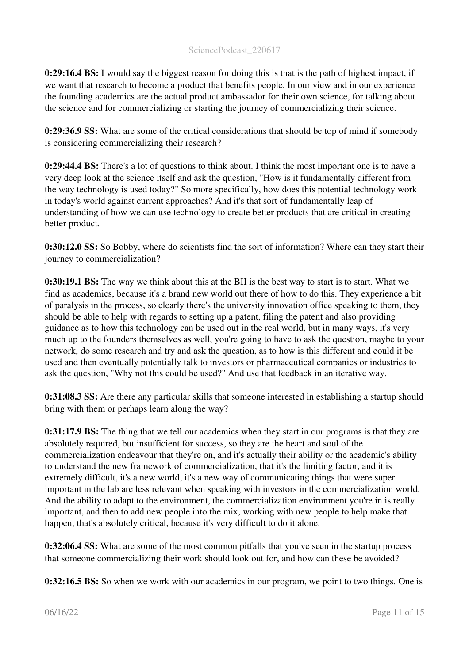0:29:16.4 BS: I would say the biggest reason for doing this is that is the path of highest impact, if we want that research to become a product that benefits people. In our view and in our experience the founding academics are the actual product ambassador for their own science, for talking about the science and for commercializing or starting the journey of commercializing their science.

0:29:36.9 SS: What are some of the critical considerations that should be top of mind if somebody is considering commercializing their research?

0:29:44.4 BS: There's a lot of questions to think about. I think the most important one is to have a very deep look at the science itself and ask the question, "How is it fundamentally different from the way technology is used today?" So more specifically, how does this potential technology work in today's world against current approaches? And it's that sort of fundamentally leap of understanding of how we can use technology to create better products that are critical in creating better product.

0:30:12.0 SS: So Bobby, where do scientists find the sort of information? Where can they start their journey to commercialization?

0:30:19.1 BS: The way we think about this at the BII is the best way to start is to start. What we find as academics, because it's a brand new world out there of how to do this. They experience a bit of paralysis in the process, so clearly there's the university innovation office speaking to them, they should be able to help with regards to setting up a patent, filing the patent and also providing guidance as to how this technology can be used out in the real world, but in many ways, it's very much up to the founders themselves as well, you're going to have to ask the question, maybe to your network, do some research and try and ask the question, as to how is this different and could it be used and then eventually potentially talk to investors or pharmaceutical companies or industries to ask the question, "Why not this could be used?" And use that feedback in an iterative way.

0:31:08.3 SS: Are there any particular skills that someone interested in establishing a startup should bring with them or perhaps learn along the way?

0:31:17.9 BS: The thing that we tell our academics when they start in our programs is that they are absolutely required, but insufficient for success, so they are the heart and soul of the commercialization endeavour that they're on, and it's actually their ability or the academic's ability to understand the new framework of commercialization, that it's the limiting factor, and it is extremely difficult, it's a new world, it's a new way of communicating things that were super important in the lab are less relevant when speaking with investors in the commercialization world. And the ability to adapt to the environment, the commercialization environment you're in is really important, and then to add new people into the mix, working with new people to help make that happen, that's absolutely critical, because it's very difficult to do it alone.

0:32:06.4 SS: What are some of the most common pitfalls that you've seen in the startup process that someone commercializing their work should look out for, and how can these be avoided?

0:32:16.5 BS: So when we work with our academics in our program, we point to two things. One is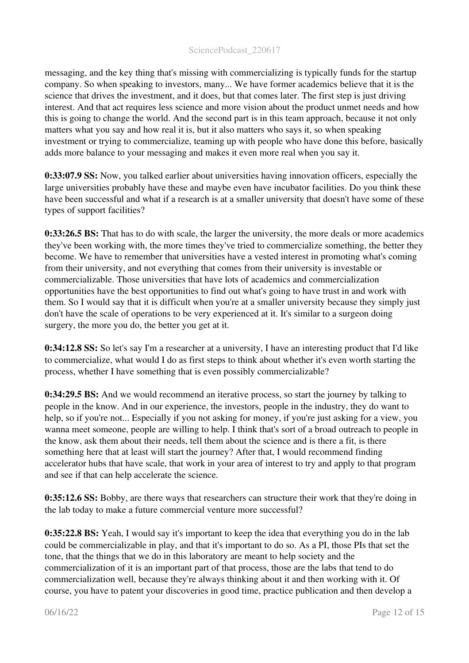messaging, and the key thing that's missing with commercializing is typically funds for the startup company. So when speaking to investors, many... We have former academics believe that it is the science that drives the investment, and it does, but that comes later. The first step is just driving interest. And that act requires less science and more vision about the product unmet needs and how this is going to change the world. And the second part is in this team approach, because it not only matters what you say and how real it is, but it also matters who says it, so when speaking investment or trying to commercialize, teaming up with people who have done this before, basically adds more balance to your messaging and makes it even more real when you say it.

0:33:07.9 SS: Now, you talked earlier about universities having innovation officers, especially the large universities probably have these and maybe even have incubator facilities. Do you think these have been successful and what if a research is at a smaller university that doesn't have some of these types of support facilities?

0:33:26.5 BS: That has to do with scale, the larger the university, the more deals or more academics they've been working with, the more times they've tried to commercialize something, the better they become. We have to remember that universities have a vested interest in promoting what's coming from their university, and not everything that comes from their university is investable or commercializable. Those universities that have lots of academics and commercialization opportunities have the best opportunities to find out what's going to have trust in and work with them. So I would say that it is difficult when you're at a smaller university because they simply just don't have the scale of operations to be very experienced at it. It's similar to a surgeon doing surgery, the more you do, the better you get at it.

0:34:12.8 SS: So let's say I'm a researcher at a university, I have an interesting product that I'd like to commercialize, what would I do as first steps to think about whether it's even worth starting the process, whether I have something that is even possibly commercializable?

0:34:29.5 BS: And we would recommend an iterative process, so start the journey by talking to people in the know. And in our experience, the investors, people in the industry, they do want to help, so if you're not... Especially if you not asking for money, if you're just asking for a view, you wanna meet someone, people are willing to help. I think that's sort of a broad outreach to people in the know, ask them about their needs, tell them about the science and is there a fit, is there something here that at least will start the journey? After that, I would recommend finding accelerator hubs that have scale, that work in your area of interest to try and apply to that program and see if that can help accelerate the science.

0:35:12.6 SS: Bobby, are there ways that researchers can structure their work that they're doing in the lab today to make a future commercial venture more successful?

0:35:22.8 BS: Yeah, I would say it's important to keep the idea that everything you do in the lab could be commercializable in play, and that it's important to do so. As a PI, those PIs that set the tone, that the things that we do in this laboratory are meant to help society and the commercialization of it is an important part of that process, those are the labs that tend to do commercialization well, because they're always thinking about it and then working with it. Of course, you have to patent your discoveries in good time, practice publication and then develop a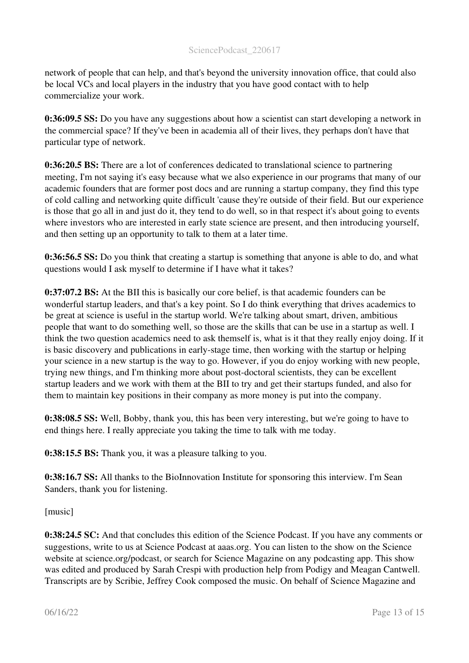network of people that can help, and that's beyond the university innovation office, that could also be local VCs and local players in the industry that you have good contact with to help commercialize your work.

0:36:09.5 SS: Do you have any suggestions about how a scientist can start developing a network in the commercial space? If they've been in academia all of their lives, they perhaps don't have that particular type of network.

0:36:20.5 BS: There are a lot of conferences dedicated to translational science to partnering meeting, I'm not saying it's easy because what we also experience in our programs that many of our academic founders that are former post docs and are running a startup company, they find this type of cold calling and networking quite difficult 'cause they're outside of their field. But our experience is those that go all in and just do it, they tend to do well, so in that respect it's about going to events where investors who are interested in early state science are present, and then introducing yourself. and then setting up an opportunity to talk to them at a later time.

0:36:56.5 SS: Do you think that creating a startup is something that anyone is able to do, and what questions would I ask myself to determine if I have what it takes?

0:37:07.2 BS: At the BII this is basically our core belief, is that academic founders can be wonderful startup leaders, and that's a key point. So I do think everything that drives academics to be great at science is useful in the startup world. We're talking about smart, driven, ambitious people that want to do something well, so those are the skills that can be use in a startup as well. I think the two question academics need to ask themself is, what is it that they really enjoy doing. If it is basic discovery and publications in early-stage time, then working with the startup or helping your science in a new startup is the way to go. However, if you do enjoy working with new people, trying new things, and I'm thinking more about post-doctoral scientists, they can be excellent startup leaders and we work with them at the BII to try and get their startups funded, and also for them to maintain key positions in their company as more money is put into the company.

0:38:08.5 SS: Well, Bobby, thank you, this has been very interesting, but we're going to have to end things here. I really appreciate you taking the time to talk with me today.

0:38:15.5 BS: Thank you, it was a pleasure talking to you.

0:38:16.7 SS: All thanks to the BioInnovation Institute for sponsoring this interview. I'm Sean Sanders, thank you for listening.

[music]

0:38:24.5 SC: And that concludes this edition of the Science Podcast. If you have any comments or suggestions, write to us at Science Podcast at aaas.org. You can listen to the show on the Science website at science.org/podcast, or search for Science Magazine on any podcasting app. This show was edited and produced by Sarah Crespi with production help from Podigy and Meagan Cantwell. Transcripts are by Scribie, Jeffrey Cook composed the music. On behalf of Science Magazine and